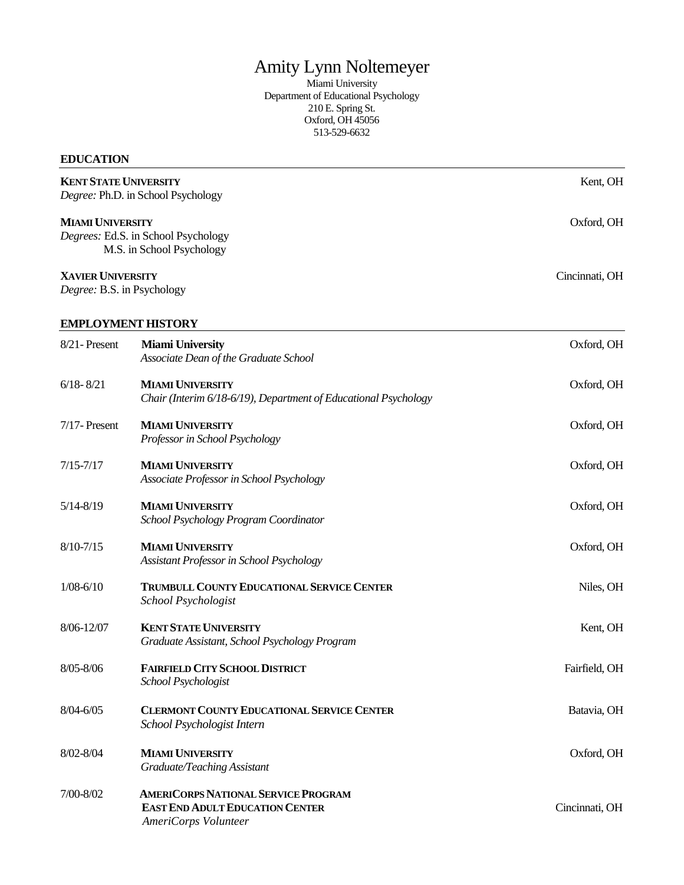# Amity Lynn Noltemeyer

Miami University Department of Educational Psychology 210 E. Spring St. Oxford, OH 45056 513-529-6632

# **EDUCATION**

| <b>KENT STATE UNIVERSITY</b><br>Degree: Ph.D. in School Psychology<br><b>MIAMI UNIVERSITY</b><br>Degrees: Ed.S. in School Psychology<br>M.S. in School Psychology |                                                                                                              | Kent, OH       |
|-------------------------------------------------------------------------------------------------------------------------------------------------------------------|--------------------------------------------------------------------------------------------------------------|----------------|
|                                                                                                                                                                   |                                                                                                              | Oxford, OH     |
| <b>XAVIER UNIVERSITY</b><br>Degree: B.S. in Psychology                                                                                                            |                                                                                                              | Cincinnati, OH |
| <b>EMPLOYMENT HISTORY</b>                                                                                                                                         |                                                                                                              |                |
| 8/21-Present                                                                                                                                                      | <b>Miami University</b><br>Associate Dean of the Graduate School                                             | Oxford, OH     |
| $6/18 - 8/21$                                                                                                                                                     | <b>MIAMI UNIVERSITY</b><br>Chair (Interim 6/18-6/19), Department of Educational Psychology                   | Oxford, OH     |
| $7/17$ - Present                                                                                                                                                  | <b>MIAMI UNIVERSITY</b><br>Professor in School Psychology                                                    | Oxford, OH     |
| $7/15 - 7/17$                                                                                                                                                     | <b>MIAMI UNIVERSITY</b><br>Associate Professor in School Psychology                                          | Oxford, OH     |
| $5/14 - 8/19$                                                                                                                                                     | <b>MIAMI UNIVERSITY</b><br>School Psychology Program Coordinator                                             | Oxford, OH     |
| $8/10 - 7/15$                                                                                                                                                     | <b>MIAMI UNIVERSITY</b><br>Assistant Professor in School Psychology                                          | Oxford, OH     |
| $1/08 - 6/10$                                                                                                                                                     | TRUMBULL COUNTY EDUCATIONAL SERVICE CENTER<br>School Psychologist                                            | Niles, OH      |
| 8/06-12/07                                                                                                                                                        | <b>KENT STATE UNIVERSITY</b><br>Graduate Assistant, School Psychology Program                                | Kent, OH       |
| 8/05-8/06                                                                                                                                                         | <b>FAIRFIELD CITY SCHOOL DISTRICT</b><br>School Psychologist                                                 | Fairfield, OH  |
| $8/04 - 6/05$                                                                                                                                                     | <b>CLERMONT COUNTY EDUCATIONAL SERVICE CENTER</b><br>School Psychologist Intern                              | Batavia, OH    |
| 8/02-8/04                                                                                                                                                         | <b>MIAMI UNIVERSITY</b><br>Graduate/Teaching Assistant                                                       | Oxford, OH     |
| 7/00-8/02                                                                                                                                                         | <b>AMERICORPS NATIONAL SERVICE PROGRAM</b><br><b>EAST END ADULT EDUCATION CENTER</b><br>AmeriCorps Volunteer | Cincinnati, OH |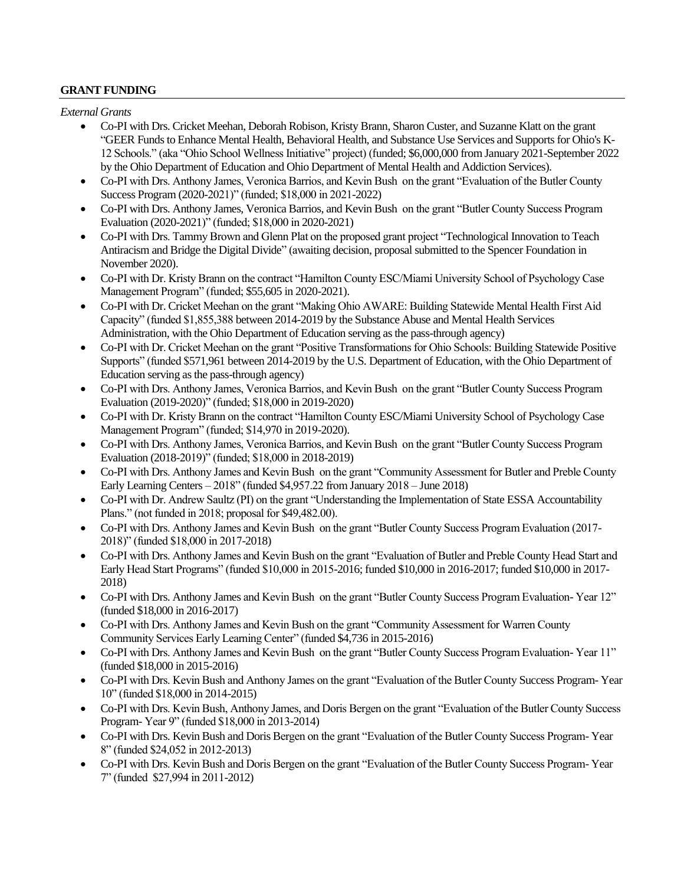#### **GRANT FUNDING**

*External Grants*

- Co-PI with Drs. Cricket Meehan, Deborah Robison, Kristy Brann, Sharon Custer, and Suzanne Klatt on the grant "GEER Funds to Enhance Mental Health, Behavioral Health, and Substance Use Services and Supports for Ohio's K-12 Schools." (aka "Ohio School Wellness Initiative" project) (funded; \$6,000,000 from January 2021-September 2022 by the Ohio Department of Education and Ohio Department of Mental Health and Addiction Services).
- Co-PI with Drs. Anthony James, Veronica Barrios, and Kevin Bush on the grant "Evaluation of the Butler County Success Program (2020-2021)" (funded; \$18,000 in 2021-2022)
- Co-PI with Drs. Anthony James, Veronica Barrios, and Kevin Bush on the grant "Butler County Success Program Evaluation (2020-2021)" (funded; \$18,000 in 2020-2021)
- Co-PI with Drs. Tammy Brown and Glenn Plat on the proposed grant project "Technological Innovation to Teach Antiracism and Bridge the Digital Divide" (awaiting decision, proposal submitted to the Spencer Foundation in November 2020).
- Co-PI with Dr. Kristy Brann on the contract "Hamilton County ESC/Miami University School of Psychology Case Management Program" (funded; \$55,605 in 2020-2021).
- Co-PI with Dr. Cricket Meehan on the grant "Making Ohio AWARE: Building Statewide Mental Health First Aid Capacity" (funded \$1,855,388 between 2014-2019 by the Substance Abuse and Mental Health Services Administration, with the Ohio Department of Education serving as the pass-through agency)
- Co-PI with Dr. Cricket Meehan on the grant "Positive Transformations for Ohio Schools: Building Statewide Positive Supports" (funded \$571,961 between 2014-2019 by the U.S. Department of Education, with the Ohio Department of Education serving as the pass-through agency)
- Co-PI with Drs. Anthony James, Veronica Barrios, and Kevin Bush on the grant "Butler County Success Program Evaluation (2019-2020)" (funded; \$18,000 in 2019-2020)
- Co-PI with Dr. Kristy Brann on the contract "Hamilton County ESC/Miami University School of Psychology Case Management Program" (funded; \$14,970 in 2019-2020).
- Co-PI with Drs. Anthony James, Veronica Barrios, and Kevin Bush on the grant "Butler County Success Program Evaluation (2018-2019)" (funded; \$18,000 in 2018-2019)
- Co-PI with Drs. Anthony James and Kevin Bush on the grant "Community Assessment for Butler and Preble County Early Learning Centers – 2018" (funded \$4,957.22 from January 2018 – June 2018)
- Co-PI with Dr. Andrew Saultz (PI) on the grant "Understanding the Implementation of State ESSA Accountability Plans." (not funded in 2018; proposal for \$49,482.00).
- Co-PI with Drs. Anthony James and Kevin Bush on the grant "Butler County Success Program Evaluation (2017- 2018)" (funded \$18,000 in 2017-2018)
- Co-PI with Drs. Anthony James and Kevin Bush on the grant "Evaluation of Butler and Preble County Head Start and Early Head Start Programs" (funded \$10,000 in 2015-2016; funded \$10,000 in 2016-2017; funded \$10,000 in 2017- 2018)
- Co-PI with Drs. Anthony James and Kevin Bush on the grant "Butler County Success Program Evaluation- Year 12" (funded \$18,000 in 2016-2017)
- Co-PI with Drs. Anthony James and Kevin Bush on the grant "Community Assessment for Warren County Community Services Early Learning Center" (funded \$4,736 in 2015-2016)
- Co-PI with Drs. Anthony James and Kevin Bush on the grant "Butler County Success Program Evaluation- Year 11" (funded \$18,000 in 2015-2016)
- Co-PI with Drs. Kevin Bush and Anthony James on the grant "Evaluation of the Butler County Success Program- Year 10" (funded \$18,000 in 2014-2015)
- Co-PI with Drs. Kevin Bush, Anthony James, and Doris Bergen on the grant "Evaluation of the Butler County Success Program- Year 9" (funded \$18,000 in 2013-2014)
- Co-PI with Drs. Kevin Bush and Doris Bergen on the grant "Evaluation of the Butler County Success Program- Year 8" (funded \$24,052 in 2012-2013)
- Co-PI with Drs. Kevin Bush and Doris Bergen on the grant "Evaluation of the Butler County Success Program- Year 7" (funded \$27,994 in 2011-2012)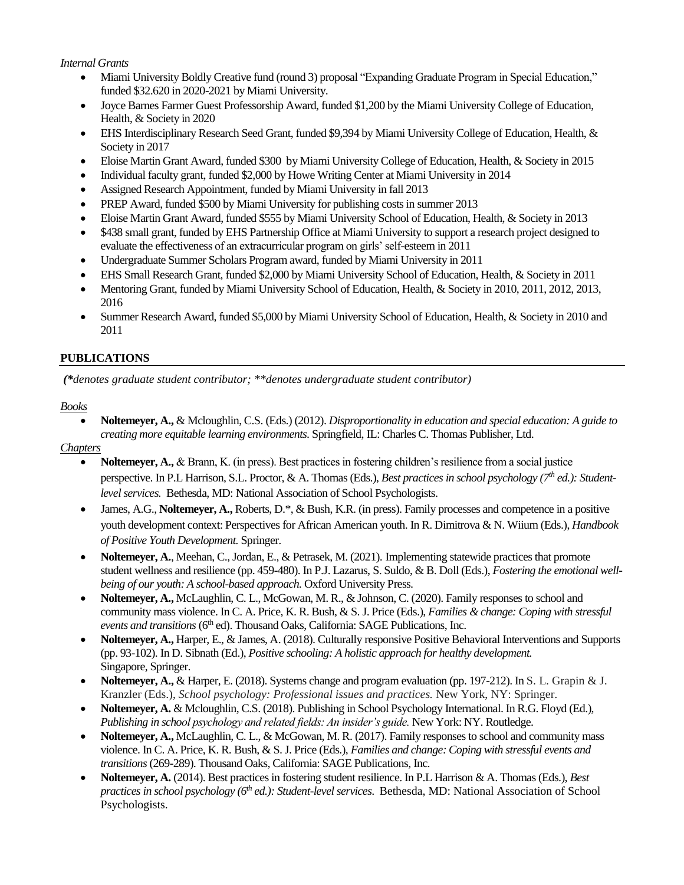#### *Internal Grants*

- Miami University Boldly Creative fund (round 3) proposal "Expanding Graduate Program in Special Education," funded \$32.620 in 2020-2021 by Miami University.
- Joyce Barnes Farmer Guest Professorship Award, funded \$1,200 by the Miami University College of Education, Health, & Society in 2020
- EHS Interdisciplinary Research Seed Grant, funded \$9,394 by Miami University College of Education, Health, & Society in 2017
- Eloise Martin Grant Award, funded \$300 by Miami University College of Education, Health, & Society in 2015
- Individual faculty grant, funded \$2,000 by Howe Writing Center at Miami University in 2014
- Assigned Research Appointment, funded by Miami University in fall 2013
- PREP Award, funded \$500 by Miami University for publishing costs in summer 2013
- Eloise Martin Grant Award, funded \$555 by Miami University School of Education, Health, & Society in 2013
- \$438 small grant, funded by EHS Partnership Office at Miami University to support a research project designed to evaluate the effectiveness of an extracurricular program on girls' self-esteem in 2011
- Undergraduate Summer Scholars Program award, funded by Miami University in 2011
- EHS Small Research Grant, funded \$2,000 by Miami University School of Education, Health, & Society in 2011
- Mentoring Grant, funded by Miami University School of Education, Health, & Society in 2010, 2011, 2012, 2013, 2016
- Summer Research Award, funded \$5,000 by Miami University School of Education, Health, & Society in 2010 and 2011

#### **PUBLICATIONS**

*(\*denotes graduate student contributor; \*\*denotes undergraduate student contributor)*

#### *Books*

 **Noltemeyer, A.,** & Mcloughlin, C.S. (Eds.) (2012). *Disproportionality in education and special education: A guide to creating more equitable learning environments.* Springfield, IL: Charles C. Thomas Publisher, Ltd.

#### *Chapters*

- **Noltemeyer, A.,** & Brann, K. (in press). Best practices in fostering children's resilience from a social justice perspective. In P.L Harrison, S.L. Proctor, & A. Thomas (Eds.), *Best practices in school psychology (7th ed.): Studentlevel services.* Bethesda, MD: National Association of School Psychologists.
- James, A.G., **Noltemeyer, A.,** Roberts, D.\*, & Bush, K.R. (in press). Family processes and competence in a positive youth development context: Perspectives for African American youth. In R. Dimitrova & N. Wiium (Eds.), *Handbook of Positive Youth Development.* Springer.
- **Noltemeyer, A.**, Meehan, C., Jordan, E., & Petrasek, M. (2021). Implementing statewide practices that promote student wellness and resilience (pp. 459-480). In P.J. Lazarus, S. Suldo, & B. Doll (Eds.), *Fostering the emotional wellbeing of our youth: A school-based approach.* Oxford University Press.
- **Noltemeyer, A.,** McLaughlin, C. L., McGowan, M. R., & Johnson, C. (2020). Family responses to school and community mass violence. In C. A. Price, K. R. Bush, & S. J. Price (Eds.), *Families & change: Coping with stressful events and transitions* (6<sup>th</sup> ed). Thousand Oaks, California: SAGE Publications, Inc.
- **Noltemeyer, A.,** Harper, E., & James, A. (2018). Culturally responsive Positive Behavioral Interventions and Supports (pp. 93-102). In D. Sibnath (Ed.), *Positive schooling: A holistic approach for healthy development.* Singapore, Springer.
- **Noltemeyer, A.,** & Harper, E. (2018). Systems change and program evaluation (pp. 197-212). In S. L. Grapin & J. Kranzler (Eds.), *School psychology: Professional issues and practices.* New York, NY: Springer.
- **Noltemeyer, A.** & Mcloughlin, C.S. (2018). Publishing in School Psychology International. In R.G. Floyd (Ed.), *Publishing in school psychology and related fields: An insider's guide.* New York: NY. Routledge.
- **Noltemeyer, A.,** McLaughlin, C. L., & McGowan, M. R. (2017). Family responses to school and community mass violence. In C. A. Price, K. R. Bush, & S. J. Price (Eds.), *Families and change: Coping with stressful events and transitions* (269-289). Thousand Oaks, California: SAGE Publications, Inc.
- **Noltemeyer, A.** (2014). Best practices in fostering student resilience. In P.L Harrison & A. Thomas (Eds.), *Best practices in school psychology (6th ed.): Student-level services*. Bethesda, MD: National Association of School Psychologists.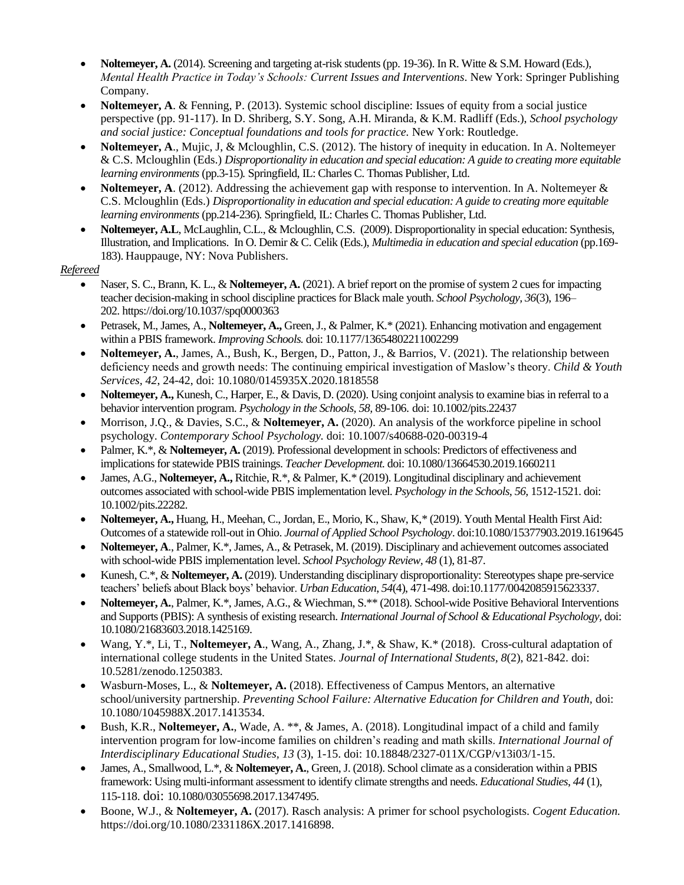- **Noltemeyer, A.** (2014). Screening and targeting at-risk students (pp. 19-36). In R. Witte & S.M. Howard (Eds.), *Mental Health Practice in Today's Schools: Current Issues and Interventions*. New York: Springer Publishing Company.
- **Noltemeyer, A**. & Fenning, P. (2013). Systemic school discipline: Issues of equity from a social justice perspective (pp. 91-117). In D. Shriberg, S.Y. Song, A.H. Miranda, & K.M. Radliff (Eds.), *School psychology and social justice: Conceptual foundations and tools for practice.* New York: Routledge.
- **Noltemeyer, A**., Mujic, J, & Mcloughlin, C.S. (2012). The history of inequity in education. In A. Noltemeyer & C.S. Mcloughlin (Eds.) *Disproportionality in education and special education: A guide to creating more equitable learning environments* (pp.3-15)*.* Springfield, IL: Charles C. Thomas Publisher, Ltd.
- **Noltemeyer, A**. (2012). Addressing the achievement gap with response to intervention. In A. Noltemeyer & C.S. Mcloughlin (Eds.) *Disproportionality in education and special education: A guide to creating more equitable learning environments* (pp.214-236)*.* Springfield, IL: Charles C. Thomas Publisher, Ltd.
- **Noltemeyer, A.L**, McLaughlin, C.L., & Mcloughlin, C.S. (2009). Disproportionality in special education: Synthesis, Illustration, and Implications. In O. Demir & C. Celik (Eds.), *Multimedia in education and special education* (pp.169- 183). Hauppauge, NY: Nova Publishers.

#### *Refereed*

- Naser, S. C., Brann, K. L., & **Noltemeyer, A.** (2021). A brief report on the promise of system 2 cues for impacting teacher decision-making in school discipline practices for Black male youth. *School Psychology, 36*(3), 196– 202. https://doi.org/10.1037/spq0000363
- Petrasek, M., James, A., **Noltemeyer, A.,** Green, J., & Palmer, K.\* (2021). Enhancing motivation and engagement within a PBIS framework. *Improving Schools.* doi: 10.1177/13654802211002299
- **Noltemeyer, A.**, James, A., Bush, K., Bergen, D., Patton, J., & Barrios, V. (2021). The relationship between deficiency needs and growth needs: The continuing empirical investigation of Maslow's theory. *Child & Youth Services, 42*, 24-42, doi: 10.1080/0145935X.2020.1818558
- **Noltemeyer, A.,** Kunesh, C., Harper, E., & Davis, D. (2020). Using conjoint analysis to examine bias in referral to a behavior intervention program. *Psychology in the Schools, 58,* 89-106. doi: 10.1002/pits.22437
- Morrison, J.Q., & Davies, S.C., & **Noltemeyer, A.** (2020). An analysis of the workforce pipeline in school psychology. *Contemporary School Psychology.* doi: 10.1007/s40688-020-00319-4
- Palmer, K.\*, & **Noltemeyer, A.** (2019). Professional development in schools: Predictors of effectiveness and implications for statewide PBIS trainings. *Teacher Development.* doi: 10.1080/13664530.2019.1660211
- James, A.G., **Noltemeyer, A.,** Ritchie, R.\*, & Palmer, K.\* (2019). Longitudinal disciplinary and achievement outcomes associated with school-wide PBIS implementation level. *Psychology in the Schools, 56,* 1512-1521*.* doi: 10.1002/pits.22282.
- **Noltemeyer, A.,** Huang, H., Meehan, C., Jordan, E., Morio, K., Shaw, K,\* (2019). Youth Mental Health First Aid: Outcomes of a statewide roll-out in Ohio. *Journal of Applied School Psychology*. doi:10.1080/15377903.2019.1619645
- **Noltemeyer, A**., Palmer, K.\*, James, A., & Petrasek, M. (2019). Disciplinary and achievement outcomes associated with school-wide PBIS implementation level. *School Psychology Review, 48* (1), 81-87.
- Kunesh, C.\*, & **Noltemeyer, A.** (2019). Understanding disciplinary disproportionality: Stereotypes shape pre-service teachers' beliefs about Black boys' behavior. *Urban Education*, *54*(4), 471-498. doi:10.1177/0042085915623337.
- **Noltemeyer, A.**, Palmer, K.\*, James, A.G., & Wiechman, S.\*\* (2018). School-wide Positive Behavioral Interventions and Supports (PBIS): A synthesis of existing research. *International Journal of School & Educational Psychology,* doi: 10.1080/21683603.2018.1425169.
- Wang, Y.\*, Li, T., **Noltemeyer, A**., Wang, A., Zhang, J.\*, & Shaw, K.\* (2018). Cross-cultural adaptation of international college students in the United States. *Journal of International Students, 8*(2), 821-842. doi: 10.5281/zenodo.1250383.
- Wasburn-Moses, L., & **Noltemeyer, A.** (2018). Effectiveness of Campus Mentors, an alternative school/university partnership. *Preventing School Failure: Alternative Education for Children and Youth,* doi: 10.1080/1045988X.2017.1413534.
- Bush, K.R., **Noltemeyer, A.**, Wade, A. \*\*, & James, A. (2018). Longitudinal impact of a child and family intervention program for low-income families on children's reading and math skills. *International Journal of Interdisciplinary Educational Studies, 13* (3), 1-15. doi: 10.18848/2327-011X/CGP/v13i03/1-15.
- James, A., Smallwood, L.\*, & **Noltemeyer, A.**, Green, J. (2018). School climate as a consideration within a PBIS framework: Using multi-informant assessment to identify climate strengths and needs. *Educational Studies*, *44* (1), 115-118. doi: 10.1080/03055698.2017.1347495.
- Boone, W.J., & **Noltemeyer, A.** (2017). Rasch analysis: A primer for school psychologists. *Cogent Education.* https://doi.org/10.1080/2331186X.2017.1416898.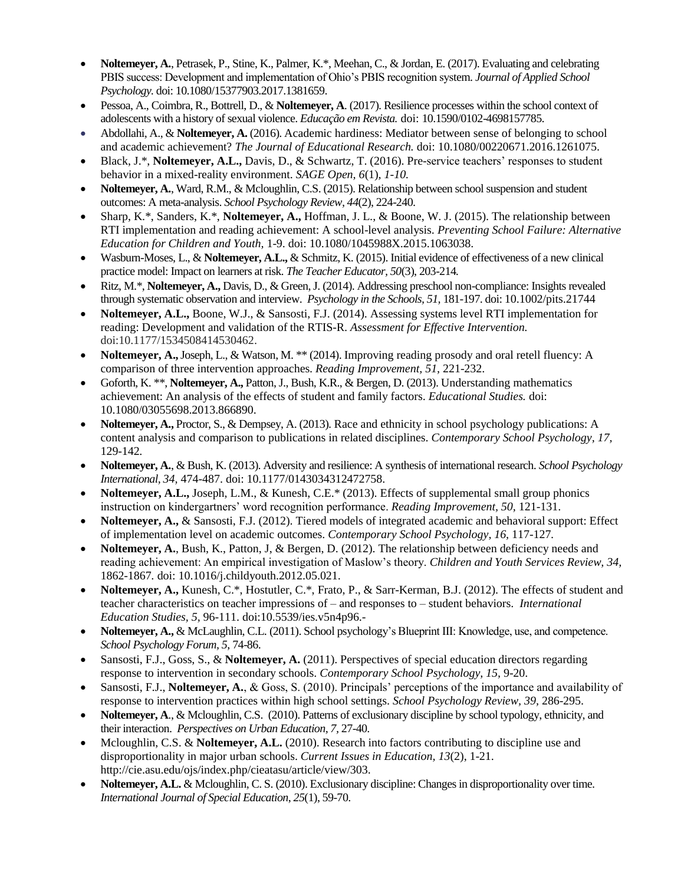- **Noltemeyer, A.**, Petrasek, P., Stine, K., Palmer, K.\*, Meehan, C., & Jordan, E. (2017). Evaluating and celebrating PBIS success: Development and implementation of Ohio's PBIS recognition system. *Journal of Applied School Psychology.* doi: 10.1080/15377903.2017.1381659.
- Pessoa, A., Coimbra, R., Bottrell, D., & **Noltemeyer, A**. (2017). Resilience processes within the school context of adolescents with a history of sexual violence. *Educação em Revista.* doi: 10.1590/0102-4698157785.
- Abdollahi, A., & **Noltemeyer, A.** (2016). Academic hardiness: Mediator between sense of belonging to school and academic achievement? *The Journal of Educational Research.* doi: 10.1080/00220671.2016.1261075.
- Black, J.\*, **Noltemeyer, A.L.,** Davis, D., & Schwartz, T. (2016). Pre-service teachers' responses to student behavior in a mixed-reality environment. *SAGE Open, 6*(1)*, 1-10.*
- **Noltemeyer, A.**, Ward, R.M., & Mcloughlin, C.S. (2015). Relationship between school suspension and student outcomes: A meta-analysis. *School Psychology Review, 44*(2), 224-240.
- Sharp, K.\*, Sanders, K.\*, **Noltemeyer, A.,** Hoffman, J. L., & Boone, W. J. (2015). The relationship between RTI implementation and reading achievement: A school-level analysis. *Preventing School Failure: Alternative Education for Children and Youth,* 1-9. doi: 10.1080/1045988X.2015.1063038.
- Wasburn-Moses, L., & **Noltemeyer, A.L.,** & Schmitz, K. (2015). Initial evidence of effectiveness of a new clinical practice model: Impact on learners at risk. *The Teacher Educator, 50*(3), 203-214*.*
- Ritz, M.\*, **Noltemeyer, A.,** Davis, D., & Green, J. (2014). Addressing preschool non-compliance: Insights revealed through systematic observation and interview. *Psychology in the Schools, 51,* 181-197. doi: 10.1002/pits.21744
- **Noltemeyer, A.L.,** Boone, W.J., & Sansosti, F.J. (2014). Assessing systems level RTI implementation for reading: Development and validation of the RTIS-R. *Assessment for Effective Intervention.*  doi:10.1177/1534508414530462.
- **Noltemeyer, A.,**Joseph, L., & Watson, M. \*\* (2014). Improving reading prosody and oral retell fluency: A comparison of three intervention approaches. *Reading Improvement, 51,* 221-232.
- Goforth, K. \*\*, **Noltemeyer, A.,** Patton, J., Bush, K.R., & Bergen, D. (2013). Understanding mathematics achievement: An analysis of the effects of student and family factors. *Educational Studies.* doi: 10.1080/03055698.2013.866890.
- **Noltemeyer, A.,** Proctor, S., & Dempsey, A. (2013). Race and ethnicity in school psychology publications: A content analysis and comparison to publications in related disciplines. *Contemporary School Psychology, 17,*  129-142*.*
- **Noltemeyer, A.**, & Bush, K. (2013). Adversity and resilience: A synthesis of international research. *School Psychology International, 34,* 474-487. doi: 10.1177/0143034312472758.
- **Noltemeyer, A.L.,** Joseph, L.M., & Kunesh, C.E.\* (2013). Effects of supplemental small group phonics instruction on kindergartners' word recognition performance. *Reading Improvement, 50,* 121-131.
- **Noltemeyer, A.,** & Sansosti, F.J. (2012). Tiered models of integrated academic and behavioral support: Effect of implementation level on academic outcomes. *Contemporary School Psychology, 16,* 117-127*.*
- **Noltemeyer, A.**, Bush, K., Patton, J, & Bergen, D. (2012). The relationship between deficiency needs and reading achievement: An empirical investigation of Maslow's theory. *Children and Youth Services Review, 34,*  1862-1867*.* doi: 10.1016/j.childyouth.2012.05.021.
- **Noltemeyer, A.,** Kunesh, C.\*, Hostutler, C.\*, Frato, P., & Sarr-Kerman, B.J. (2012). The effects of student and teacher characteristics on teacher impressions of – and responses to – student behaviors. *International Education Studies, 5,* 96-111. doi:10.5539/ies.v5n4p96.-
- **Noltemeyer, A.,** & McLaughlin, C.L. (2011). School psychology's Blueprint III: Knowledge, use, and competence. *School Psychology Forum, 5*, 74-86.
- Sansosti, F.J., Goss, S., & **Noltemeyer, A.** (2011). Perspectives of special education directors regarding response to intervention in secondary schools. *Contemporary School Psychology, 15,* 9-20.
- Sansosti, F.J., **Noltemeyer, A.**, & Goss, S. (2010). Principals' perceptions of the importance and availability of response to intervention practices within high school settings. *School Psychology Review, 39,* 286-295.
- **Noltemeyer, A**., & Mcloughlin, C.S. (2010). Patterns of exclusionary discipline by school typology, ethnicity, and their interaction. *Perspectives on Urban Education, 7,* 27-40.
- Mcloughlin, C.S. & **Noltemeyer, A.L.** (2010). Research into factors contributing to discipline use and disproportionality in major urban schools. *Current Issues in Education, 13*(2), 1-21. [http://cie.asu.edu/ojs/index.php/cieatasu/article/view/303.](http://cie.asu.edu/ojs/index.php/cieatasu/article/view/303)
- **Noltemeyer, A.L.** & Mcloughlin, C. S. (2010). Exclusionary discipline: Changes in disproportionality over time. *International Journal of Special Education*, *25*(1), 59-70.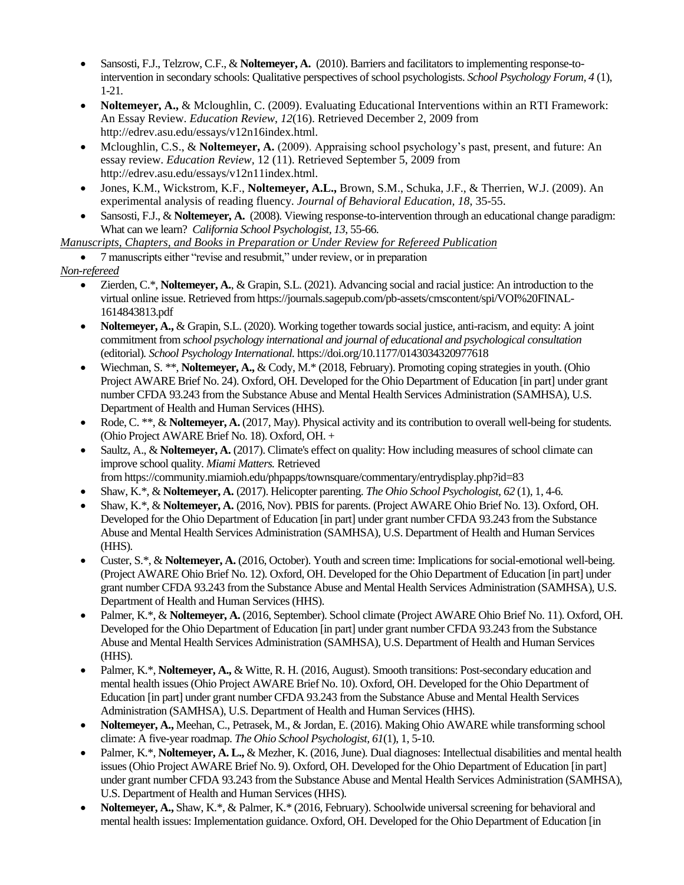- Sansosti, F.J., Telzrow, C.F., & **Noltemeyer, A.** (2010). Barriers and facilitators to implementing response-tointervention in secondary schools: Qualitative perspectives of school psychologists. *School Psychology Forum, 4* (1), 1-21*.*
- **Noltemeyer, A.,** & Mcloughlin, C. (2009). Evaluating Educational Interventions within an RTI Framework: An Essay Review. *Education Review*, *12*(16). Retrieved December 2, 2009 from [http://edrev.asu.edu/essays/v12n16index.html.](http://edrev.asu.edu/essays/v12n16index.html)
- Mcloughlin, C.S., & **Noltemeyer, A.** (2009). Appraising school psychology's past, present, and future: An essay review. *Education Review,* 12 (11). Retrieved September 5, 2009 from [http://edrev.asu.edu/essays/v12n11index.html.](http://edrev.asu.edu/essays/v12n11index.html)
- Jones, K.M., Wickstrom, K.F., **Noltemeyer, A.L.,** Brown, S.M., Schuka, J.F., & Therrien, W.J. (2009). An experimental analysis of reading fluency. *Journal of Behavioral Education, 18*, 35-55.
- Sansosti, F.J., & **Noltemeyer, A.** (2008). Viewing response-to-intervention through an educational change paradigm: What can we learn? *California School Psychologist, 13*, 55-66.

*Manuscripts, Chapters, and Books in Preparation or Under Review for Refereed Publication*

7 manuscripts either "revise and resubmit," under review, or in preparation

*Non-refereed*

- Zierden, C.\*, **Noltemeyer, A.**, & Grapin, S.L. (2021). Advancing social and racial justice: An introduction to the virtual online issue. Retrieved from https://journals.sagepub.com/pb-assets/cmscontent/spi/VOI%20FINAL-1614843813.pdf
- **Noltemeyer, A.,** & Grapin, S.L. (2020). Working together towards social justice, anti-racism, and equity: A joint commitment from *school psychology international and journal of educational and psychological consultation* (editorial)*. School Psychology International.* [https://doi.org/10.1177/0143034320977618](https://doi.org/10.1177%2F0143034320977618)
- Wiechman, S. \*\*, **Noltemeyer, A.,** & Cody, M.\* (2018, February). Promoting coping strategies in youth. (Ohio Project AWARE Brief No. 24). Oxford, OH. Developed for the Ohio Department of Education [in part] under grant number CFDA 93.243 from the Substance Abuse and Mental Health Services Administration (SAMHSA), U.S. Department of Health and Human Services (HHS).
- Rode, C. \*\*, & **Noltemeyer, A.** (2017, May). Physical activity and its contribution to overall well-being for students. (Ohio Project AWARE Brief No. 18). Oxford, OH. +
- Saultz, A., & **Noltemeyer, A.** (2017). Climate's effect on quality: How including measures of school climate can improve school quality. *Miami Matters.* Retrieved
- from https://community.miamioh.edu/phpapps/townsquare/commentary/entrydisplay.php?id=83
- Shaw, K.\*, & **Noltemeyer, A.** (2017). Helicopter parenting. *The Ohio School Psychologist, 62* (1), 1, 4-6.
- Shaw, K.\*, & **Noltemeyer, A.** (2016, Nov). PBIS for parents. (Project AWARE Ohio Brief No. 13). Oxford, OH. Developed for the Ohio Department of Education [in part] under grant number CFDA 93.243 from the Substance Abuse and Mental Health Services Administration (SAMHSA), U.S. Department of Health and Human Services (HHS).
- Custer, S.\*, & **Noltemeyer, A.** (2016, October). Youth and screen time: Implications for social-emotional well-being. (Project AWARE Ohio Brief No. 12). Oxford, OH. Developed for the Ohio Department of Education [in part] under grant number CFDA 93.243 from the Substance Abuse and Mental Health Services Administration (SAMHSA), U.S. Department of Health and Human Services (HHS).
- Palmer, K.\*, & **Noltemeyer, A.** (2016, September). School climate (Project AWARE Ohio Brief No. 11). Oxford, OH. Developed for the Ohio Department of Education [in part] under grant number CFDA 93.243 from the Substance Abuse and Mental Health Services Administration (SAMHSA), U.S. Department of Health and Human Services (HHS).
- Palmer, K.\*, **Noltemeyer, A.,** & Witte, R. H. (2016, August). Smooth transitions: Post-secondary education and mental health issues (Ohio Project AWARE Brief No. 10). Oxford, OH. Developed for the Ohio Department of Education [in part] under grant number CFDA 93.243 from the Substance Abuse and Mental Health Services Administration (SAMHSA), U.S. Department of Health and Human Services (HHS).
- **Noltemeyer, A.,** Meehan, C., Petrasek, M., & Jordan, E. (2016). Making Ohio AWARE while transforming school climate: A five-year roadmap. *The Ohio School Psychologist, 61*(1), 1, 5-10.
- Palmer, K.\*, **Noltemeyer, A. L.,** & Mezher, K. (2016, June). Dual diagnoses: Intellectual disabilities and mental health issues (Ohio Project AWARE Brief No. 9). Oxford, OH. Developed for the Ohio Department of Education [in part] under grant number CFDA 93.243 from the Substance Abuse and Mental Health Services Administration (SAMHSA), U.S. Department of Health and Human Services (HHS).
- **Noltemeyer, A.,** Shaw, K.\*, & Palmer, K.\* (2016, February). Schoolwide universal screening for behavioral and mental health issues: Implementation guidance. Oxford, OH. Developed for the Ohio Department of Education [in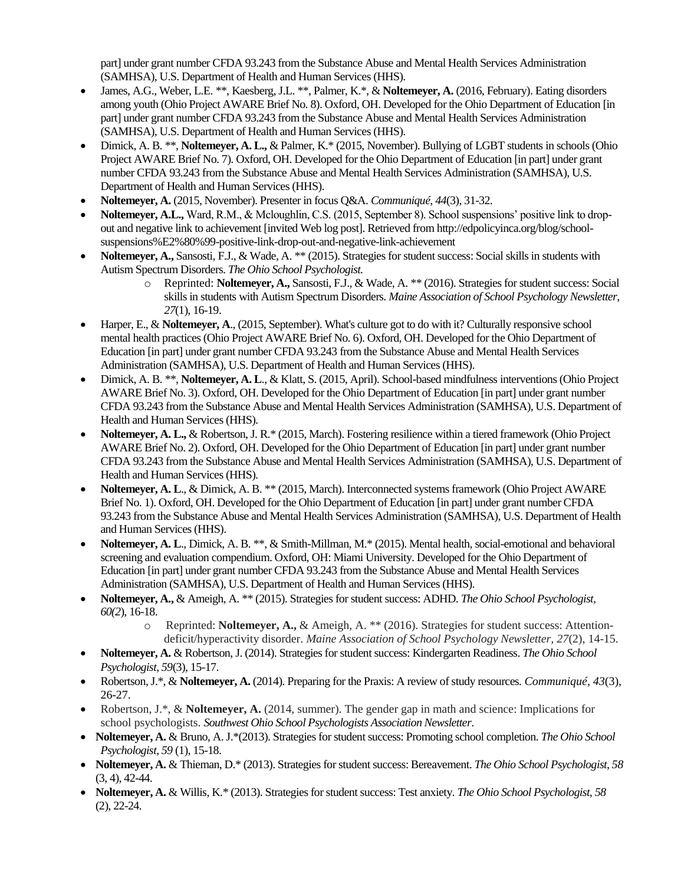part] under grant number CFDA 93.243 from the Substance Abuse and Mental Health Services Administration (SAMHSA), U.S. Department of Health and Human Services (HHS).

- James, A.G., Weber, L.E. \*\*, Kaesberg, J.L. \*\*, Palmer, K.\*, & **Noltemeyer, A.** (2016, February). Eating disorders among youth (Ohio Project AWARE Brief No. 8). Oxford, OH. Developed for the Ohio Department of Education [in part] under grant number CFDA 93.243 from the Substance Abuse and Mental Health Services Administration (SAMHSA), U.S. Department of Health and Human Services (HHS).
- Dimick, A. B. \*\*, **Noltemeyer, A. L.,** & Palmer, K.\* (2015, November). Bullying of LGBT students in schools (Ohio Project AWARE Brief No. 7). Oxford, OH. Developed for the Ohio Department of Education [in part] under grant number CFDA 93.243 from the Substance Abuse and Mental Health Services Administration (SAMHSA), U.S. Department of Health and Human Services (HHS).
- **Noltemeyer, A.** (2015, November). Presenter in focus Q&A. *Communiqué, 44*(3), 31-32.
- **Noltemeyer, A.L.,** Ward, R.M., & Mcloughlin, C.S. (2015, September 8). School suspensions' positive link to dropout and negative link to achievement [invited Web log post]. Retrieved from http://edpolicyinca.org/blog/schoolsuspensions%E2%80%99-positive-link-drop-out-and-negative-link-achievement
- **Noltemeyer, A.,** Sansosti, F.J., & Wade, A. \*\* (2015). Strategies for student success: Social skills in students with Autism Spectrum Disorders. *The Ohio School Psychologist.*
	- o Reprinted: **Noltemeyer, A.,** Sansosti, F.J., & Wade, A. \*\* (2016). Strategies for student success: Social skills in students with Autism Spectrum Disorders. *Maine Association of School Psychology Newsletter, 27*(1), 16-19.
- Harper, E., & **Noltemeyer, A**., (2015, September). What's culture got to do with it? Culturally responsive school mental health practices (Ohio Project AWARE Brief No. 6). Oxford, OH. Developed for the Ohio Department of Education [in part] under grant number CFDA 93.243 from the Substance Abuse and Mental Health Services Administration (SAMHSA), U.S. Department of Health and Human Services (HHS).
- Dimick, A. B. \*\*, **Noltemeyer, A. L**., & Klatt, S. (2015, April). School-based mindfulness interventions (Ohio Project AWARE Brief No. 3). Oxford, OH. Developed for the Ohio Department of Education [in part] under grant number CFDA 93.243 from the Substance Abuse and Mental Health Services Administration (SAMHSA), U.S. Department of Health and Human Services (HHS).
- **Noltemeyer, A. L.,** & Robertson, J. R.\* (2015, March). Fostering resilience within a tiered framework (Ohio Project AWARE Brief No. 2). Oxford, OH. Developed for the Ohio Department of Education [in part] under grant number CFDA 93.243 from the Substance Abuse and Mental Health Services Administration (SAMHSA), U.S. Department of Health and Human Services (HHS).
- **Noltemeyer, A. L**., & Dimick, A. B. \*\* (2015, March). Interconnected systems framework (Ohio Project AWARE Brief No. 1). Oxford, OH. Developed for the Ohio Department of Education [in part] under grant number CFDA 93.243 from the Substance Abuse and Mental Health Services Administration (SAMHSA), U.S. Department of Health and Human Services (HHS).
- **Noltemeyer, A. L**., Dimick, A. B. \*\*, & Smith-Millman, M.\* (2015). Mental health, social-emotional and behavioral screening and evaluation compendium. Oxford, OH: Miami University. Developed for the Ohio Department of Education [in part] under grant number CFDA 93.243 from the Substance Abuse and Mental Health Services Administration (SAMHSA), U.S. Department of Health and Human Services (HHS).
- **Noltemeyer, A.,** & Ameigh, A. \*\* (2015). Strategies for student success: ADHD. *The Ohio School Psychologist, 60(2*), 16-18.
	- o Reprinted: **Noltemeyer, A.,** & Ameigh, A. \*\* (2016). Strategies for student success: Attentiondeficit/hyperactivity disorder. *Maine Association of School Psychology Newsletter, 27*(2), 14-15.
- **Noltemeyer, A.** & Robertson, J. (2014). Strategies for student success: Kindergarten Readiness. *The Ohio School Psychologist, 59*(3), 15-17.
- Robertson, J.\*, & **Noltemeyer, A.** (2014). Preparing for the Praxis: A review of study resources. *Communiqué, 43*(3), 26-27.
- Robertson, J.\*, & **Noltemeyer, A.** (2014, summer). The gender gap in math and science: Implications for school psychologists. *Southwest Ohio School Psychologists Association Newsletter*.
- **Noltemeyer, A.** & Bruno, A. J.\*(2013). Strategies for student success: Promoting school completion. *The Ohio School Psychologist, 59* (1), 15-18.
- **Noltemeyer, A.** & Thieman, D.\* (2013). Strategies for student success: Bereavement. *The Ohio School Psychologist*, *58* (3, 4), 42-44.
- **Noltemeyer, A.** & Willis, K.\* (2013). Strategies for student success: Test anxiety. *The Ohio School Psychologist, 58*  (2), 22-24.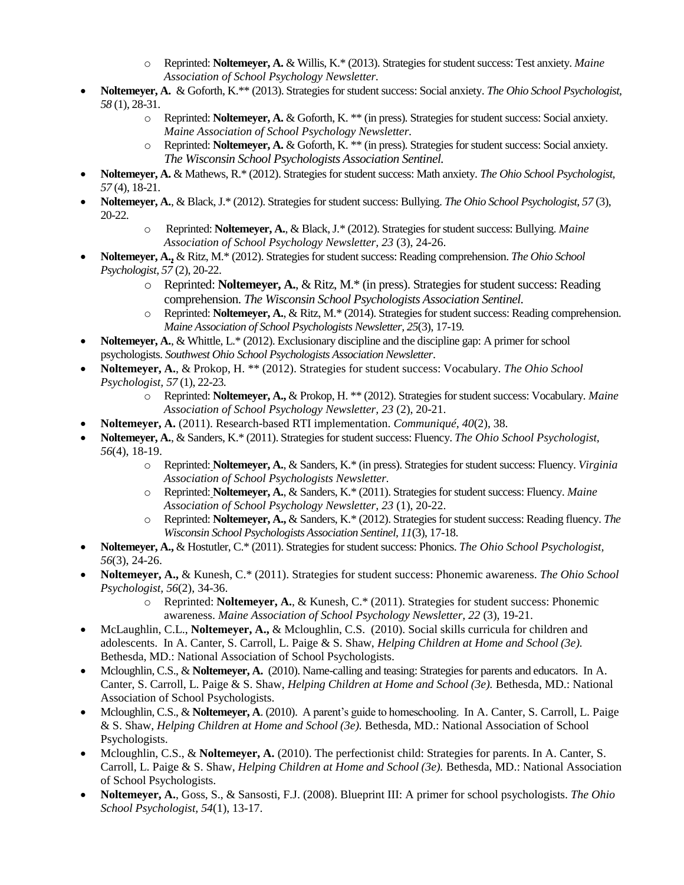- o Reprinted: **Noltemeyer, A.** & Willis, K.\* (2013). Strategies for student success: Test anxiety. *Maine Association of School Psychology Newsletter.*
- **Noltemeyer, A.** & Goforth, K.\*\* (2013). Strategies for student success: Social anxiety. *The Ohio School Psychologist, 58* (1), 28-31.
	- o Reprinted: **Noltemeyer, A.** & Goforth, K. \*\* (in press). Strategies for student success: Social anxiety. *Maine Association of School Psychology Newsletter.*
	- o Reprinted: **Noltemeyer, A.** & Goforth, K. \*\* (in press). Strategies for student success: Social anxiety. *The Wisconsin School Psychologists Association Sentinel.*
- **Noltemeyer, A.** & Mathews, R.\* (2012). Strategies for student success: Math anxiety. *The Ohio School Psychologist, 57* (4), 18-21.
- **Noltemeyer, A.**, & Black, J.\* (2012). Strategies for student success: Bullying. *The Ohio School Psychologist, 57* (3), 20-22.
	- Reprinted: Noltemeyer, A., & Black, J.\* (2012). Strategies for student success: Bullying. Maine *Association of School Psychology Newsletter, 23* (3), 24-26.
- **Noltemeyer, A.,** & Ritz, M.\* (2012). Strategies for student success: Reading comprehension. *The Ohio School Psychologist, 57* (2), 20-22.
	- o Reprinted: **Noltemeyer, A.**, & Ritz, M.\* (in press). Strategies for student success: Reading comprehension. *The Wisconsin School Psychologists Association Sentinel.*
	- o Reprinted: **Noltemeyer, A.**, & Ritz, M.\* (2014). Strategies for student success: Reading comprehension. *Maine Association of School Psychologists Newsletter, 25*(3), 17-19*.*
- **Noltemeyer, A.**, & Whittle, L.\* (2012). Exclusionary discipline and the discipline gap: A primer for school psychologists. *Southwest Ohio School Psychologists Association Newsletter*.
- **Noltemeyer, A.**, & Prokop, H. \*\* (2012). Strategies for student success: Vocabulary. *The Ohio School Psychologist, 57* (1), 22-23.
	- o Reprinted: **Noltemeyer, A.,** & Prokop, H. \*\* (2012). Strategies for student success: Vocabulary. *Maine Association of School Psychology Newsletter, 23* (2), 20-21.
- **Noltemeyer, A.** (2011). Research-based RTI implementation. *Communiqué, 40*(2), 38.
- **Noltemeyer, A.**, & Sanders, K.\* (2011). Strategies for student success: Fluency. *The Ohio School Psychologist, 56*(4), 18-19.
	- o Reprinted: **Noltemeyer, A.**, & Sanders, K.\* (in press). Strategies for student success: Fluency. *Virginia Association of School Psychologists Newsletter.*
	- o Reprinted: **Noltemeyer, A.**, & Sanders, K.\* (2011). Strategies for student success: Fluency. *Maine Association of School Psychology Newsletter, 23* (1), 20-22.
	- o Reprinted: **Noltemeyer, A.,** & Sanders, K.\* (2012). Strategies for student success: Reading fluency. *The Wisconsin School Psychologists Association Sentinel, 11*(3), 17-18.
- **Noltemeyer, A.,** & Hostutler, C.\* (2011). Strategies for student success: Phonics. *The Ohio School Psychologist, 56*(3), 24-26.
- **Noltemeyer, A.,** & Kunesh, C.\* (2011). Strategies for student success: Phonemic awareness. *The Ohio School Psychologist, 56*(2), 34-36.
	- o Reprinted: **Noltemeyer, A.**, & Kunesh, C.\* (2011). Strategies for student success: Phonemic awareness. *Maine Association of School Psychology Newsletter, 22* (3), 19-21.
- McLaughlin, C.L., **Noltemeyer, A.,** & Mcloughlin, C.S. (2010). Social skills curricula for children and adolescents. In A. Canter, S. Carroll, L. Paige & S. Shaw, *Helping Children at Home and School (3e).*  Bethesda, MD.: National Association of School Psychologists.
- Mcloughlin, C.S., & **Noltemeyer, A.** (2010). Name-calling and teasing: Strategies for parents and educators. In A. Canter, S. Carroll, L. Paige & S. Shaw, *Helping Children at Home and School (3e).* Bethesda, MD.: National Association of School Psychologists.
- Mcloughlin, C.S., & **Noltemeyer, A**. (2010). A parent's guide to homeschooling. In A. Canter, S. Carroll, L. Paige & S. Shaw, *Helping Children at Home and School (3e).* Bethesda, MD.: National Association of School Psychologists.
- Mcloughlin, C.S., & **Noltemeyer, A.** (2010). The perfectionist child: Strategies for parents. In A. Canter, S. Carroll, L. Paige & S. Shaw, *Helping Children at Home and School (3e).* Bethesda, MD.: National Association of School Psychologists.
- **Noltemeyer, A.**, Goss, S., & Sansosti, F.J. (2008). Blueprint III: A primer for school psychologists. *The Ohio School Psychologist, 54*(1), 13-17.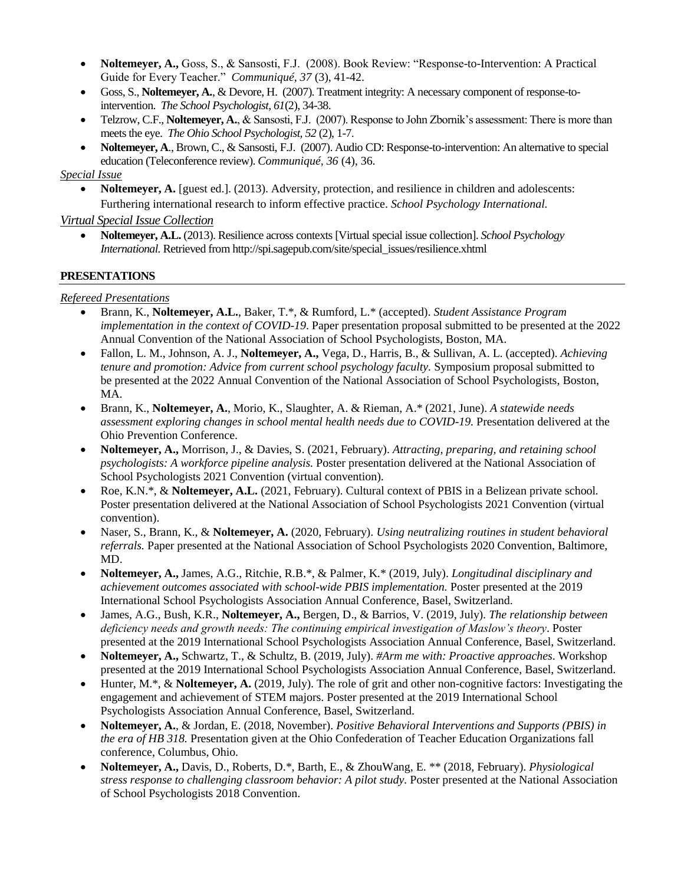- **Noltemeyer, A.,** Goss, S., & Sansosti, F.J. (2008). Book Review: "Response-to-Intervention: A Practical Guide for Every Teacher." *Communiqué, 37* (3), 41-42.
- Goss, S., **Noltemeyer, A.**, & Devore, H. (2007). Treatment integrity: A necessary component of response-tointervention. *The School Psychologist, 61*(2), 34-38.
- Telzrow, C.F., **Noltemeyer, A.**, & Sansosti, F.J. (2007). Response to John Zbornik's assessment: There is more than meets the eye. *The Ohio School Psychologist, 52* (2), 1-7.
- **Noltemeyer, A**., Brown, C., & Sansosti, F.J. (2007). Audio CD: Response-to-intervention: An alternative to special education (Teleconference review). *Communiqué, 36* (4), 36.

#### *Special Issue*

 **Noltemeyer, A.** [guest ed.]. (2013). Adversity, protection, and resilience in children and adolescents: Furthering international research to inform effective practice. *School Psychology International.*

*Virtual Special Issue Collection*

 **Noltemeyer, A.L.** (2013). Resilience across contexts[Virtual special issue collection]. *School Psychology International.* Retrieved fro[m http://spi.sagepub.com/site/special\\_issues/resilience.xhtml](http://spi.sagepub.com/site/special_issues/resilience.xhtml)

#### **PRESENTATIONS**

#### *Refereed Presentations*

- Brann, K., **Noltemeyer, A.L.**, Baker, T.\*, & Rumford, L.\* (accepted). *Student Assistance Program implementation in the context of COVID-19*. Paper presentation proposal submitted to be presented at the 2022 Annual Convention of the National Association of School Psychologists, Boston, MA.
- Fallon, L. M., Johnson, A. J., **Noltemeyer, A.,** Vega, D., Harris, B., & Sullivan, A. L. (accepted). *Achieving tenure and promotion: Advice from current school psychology faculty.* Symposium proposal submitted to be presented at the 2022 Annual Convention of the National Association of School Psychologists, Boston, MA.
- Brann, K., **Noltemeyer, A.**, Morio, K., Slaughter, A. & Rieman, A.\* (2021, June). *A statewide needs assessment exploring changes in school mental health needs due to COVID-19.* Presentation delivered at the Ohio Prevention Conference.
- **Noltemeyer, A.,** Morrison, J., & Davies, S. (2021, February). *Attracting, preparing, and retaining school psychologists: A workforce pipeline analysis.* Poster presentation delivered at the National Association of School Psychologists 2021 Convention (virtual convention).
- Roe, K.N.\*, & **Noltemeyer, A.L.** (2021, February). Cultural context of PBIS in a Belizean private school*.*  Poster presentation delivered at the National Association of School Psychologists 2021 Convention (virtual convention).
- Naser, S., Brann, K., & **Noltemeyer, A.** (2020, February). *Using neutralizing routines in student behavioral referrals.* Paper presented at the National Association of School Psychologists 2020 Convention, Baltimore, MD.
- **Noltemeyer, A.,** James, A.G., Ritchie, R.B.\*, & Palmer, K.\* (2019, July). *Longitudinal disciplinary and achievement outcomes associated with school-wide PBIS implementation.* Poster presented at the 2019 International School Psychologists Association Annual Conference, Basel, Switzerland.
- James, A.G., Bush, K.R., **Noltemeyer, A.,** Bergen, D., & Barrios, V. (2019, July). *The relationship between deficiency needs and growth needs: The continuing empirical investigation of Maslow's theory*. Poster presented at the 2019 International School Psychologists Association Annual Conference, Basel, Switzerland.
- **Noltemeyer, A.,** Schwartz, T., & Schultz, B. (2019, July). *#Arm me with: Proactive approaches*. Workshop presented at the 2019 International School Psychologists Association Annual Conference, Basel, Switzerland.
- Hunter, M.\*, & **Noltemeyer, A.** (2019, July). The role of grit and other non-cognitive factors: Investigating the engagement and achievement of STEM majors. Poster presented at the 2019 International School Psychologists Association Annual Conference, Basel, Switzerland.
- **Noltemeyer, A.**, & Jordan, E. (2018, November). *Positive Behavioral Interventions and Supports (PBIS) in the era of HB 318.* Presentation given at the Ohio Confederation of Teacher Education Organizations fall conference, Columbus, Ohio.
- **Noltemeyer, A.,** Davis, D., Roberts, D.\*, Barth, E., & ZhouWang, E. \*\* (2018, February). *Physiological stress response to challenging classroom behavior: A pilot study.* Poster presented at the National Association of School Psychologists 2018 Convention.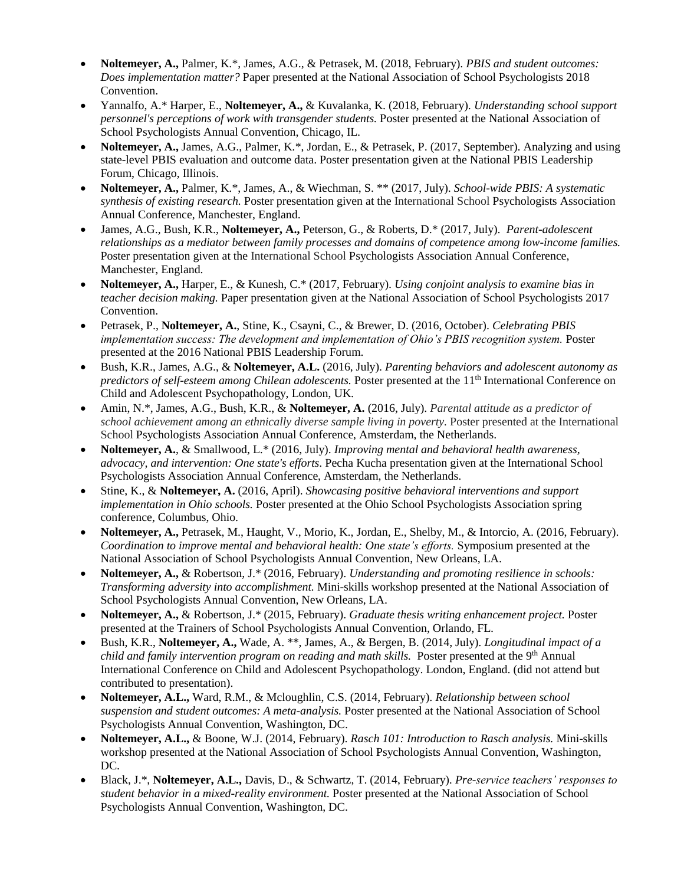- **Noltemeyer, A.,** Palmer, K.\*, James, A.G., & Petrasek, M. (2018, February). *PBIS and student outcomes: Does implementation matter?* Paper presented at the National Association of School Psychologists 2018 Convention.
- Yannalfo, A.\* Harper, E., **Noltemeyer, A.,** & Kuvalanka, K. (2018, February). *Understanding school support personnel's perceptions of work with transgender students.* Poster presented at the National Association of School Psychologists Annual Convention, Chicago, IL.
- **Noltemeyer, A.,** James, A.G., Palmer, K.\*, Jordan, E., & Petrasek, P. (2017, September). Analyzing and using state-level PBIS evaluation and outcome data. Poster presentation given at the National PBIS Leadership Forum, Chicago, Illinois.
- **Noltemeyer, A.,** Palmer, K.\*, James, A., & Wiechman, S. \*\* (2017, July). *School-wide PBIS: A systematic synthesis of existing research.* Poster presentation given at the International School Psychologists Association Annual Conference, Manchester, England.
- James, A.G., Bush, K.R., **Noltemeyer, A.,** Peterson, G., & Roberts, D.\* (2017, July). *Parent-adolescent relationships as a mediator between family processes and domains of competence among low-income families.*  Poster presentation given at the International School Psychologists Association Annual Conference, Manchester, England.
- **Noltemeyer, A.,** Harper, E., & Kunesh, C.\* (2017, February). *Using conjoint analysis to examine bias in teacher decision making.* Paper presentation given at the National Association of School Psychologists 2017 Convention.
- Petrasek, P., **Noltemeyer, A.**, Stine, K., Csayni, C., & Brewer, D. (2016, October). *Celebrating PBIS implementation success: The development and implementation of Ohio's PBIS recognition system.* Poster presented at the 2016 National PBIS Leadership Forum.
- Bush, K.R., James, A.G., & **Noltemeyer, A.L.** (2016, July). *Parenting behaviors and adolescent autonomy as predictors of self-esteem among Chilean adolescents.* Poster presented at the 11<sup>th</sup> International Conference on Child and Adolescent Psychopathology, London, UK.
- Amin, N.\*, James, A.G., Bush, K.R., & **Noltemeyer, A.** (2016, July). *Parental attitude as a predictor of school achievement among an ethnically diverse sample living in poverty.* Poster presented at the International School Psychologists Association Annual Conference, Amsterdam, the Netherlands.
- **Noltemeyer, A.**, & Smallwood, L.\* (2016, July). *Improving mental and behavioral health awareness, advocacy, and intervention: One state's efforts*. Pecha Kucha presentation given at the International School Psychologists Association Annual Conference, Amsterdam, the Netherlands.
- Stine, K., & **Noltemeyer, A.** (2016, April). *Showcasing positive behavioral interventions and support implementation in Ohio schools.* Poster presented at the Ohio School Psychologists Association spring conference, Columbus, Ohio.
- **Noltemeyer, A.,** Petrasek, M., Haught, V., Morio, K., Jordan, E., Shelby, M., & Intorcio, A. (2016, February). *Coordination to improve mental and behavioral health: One state's efforts.* Symposium presented at the National Association of School Psychologists Annual Convention, New Orleans, LA.
- **Noltemeyer, A.,** & Robertson, J.\* (2016, February). *Understanding and promoting resilience in schools: Transforming adversity into accomplishment.* Mini-skills workshop presented at the National Association of School Psychologists Annual Convention, New Orleans, LA.
- **Noltemeyer, A.,** & Robertson, J.\* (2015, February). *Graduate thesis writing enhancement project.* Poster presented at the Trainers of School Psychologists Annual Convention, Orlando, FL.
- Bush, K.R., **Noltemeyer, A.,** Wade, A. \*\*, James, A., & Bergen, B. (2014, July). *Longitudinal impact of a child and family intervention program on reading and math skills.* Poster presented at the 9<sup>th</sup> Annual International Conference on Child and Adolescent Psychopathology. London, England. (did not attend but contributed to presentation).
- **Noltemeyer, A.L.,** Ward, R.M., & Mcloughlin, C.S. (2014, February). *Relationship between school suspension and student outcomes: A meta-analysis.* Poster presented at the National Association of School Psychologists Annual Convention, Washington, DC.
- **Noltemeyer, A.L.,** & Boone, W.J. (2014, February). *Rasch 101: Introduction to Rasch analysis.* Mini-skills workshop presented at the National Association of School Psychologists Annual Convention, Washington, DC.
- Black, J.\*, **Noltemeyer, A.L.,** Davis, D., & Schwartz, T. (2014, February). *Pre-service teachers' responses to student behavior in a mixed-reality environment.* Poster presented at the National Association of School Psychologists Annual Convention, Washington, DC.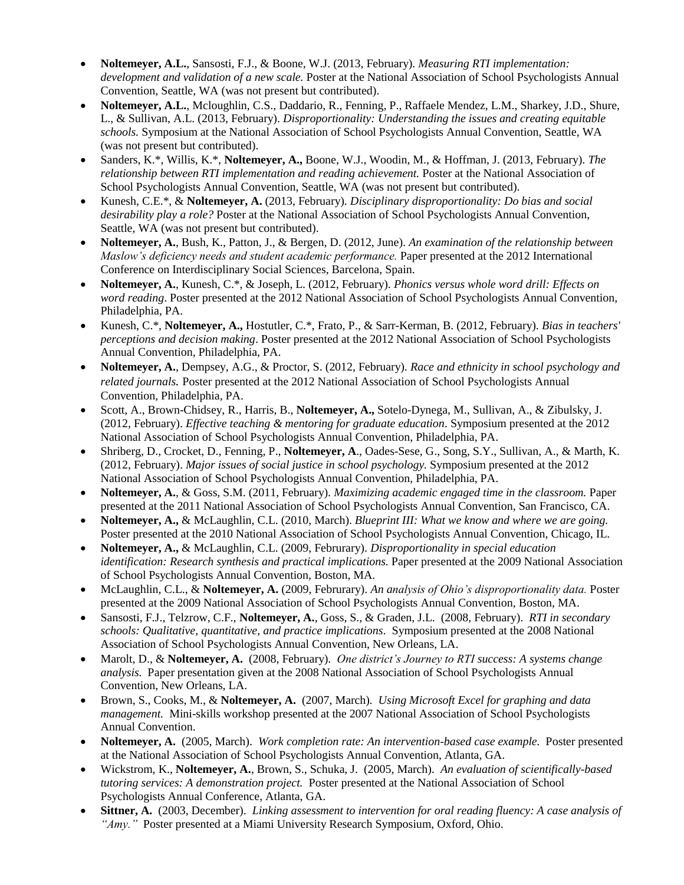- **Noltemeyer, A.L.**, Sansosti, F.J., & Boone, W.J. (2013, February). *Measuring RTI implementation: development and validation of a new scale.* Poster at the National Association of School Psychologists Annual Convention, Seattle, WA (was not present but contributed).
- **Noltemeyer, A.L.**, Mcloughlin, C.S., Daddario, R., Fenning, P., Raffaele Mendez, L.M., Sharkey, J.D., Shure, L., & Sullivan, A.L. (2013, February). *Disproportionality: Understanding the issues and creating equitable schools.* Symposium at the National Association of School Psychologists Annual Convention, Seattle, WA (was not present but contributed).
- Sanders, K.\*, Willis, K.\*, **Noltemeyer, A.,** Boone, W.J., Woodin, M., & Hoffman, J. (2013, February). *The relationship between RTI implementation and reading achievement.* Poster at the National Association of School Psychologists Annual Convention, Seattle, WA (was not present but contributed).
- Kunesh, C.E.\*, & **Noltemeyer, A.** (2013, February). *Disciplinary disproportionality: Do bias and social desirability play a role?* Poster at the National Association of School Psychologists Annual Convention, Seattle, WA (was not present but contributed).
- **Noltemeyer, A.**, Bush, K., Patton, J., & Bergen, D. (2012, June). *An examination of the relationship between Maslow's deficiency needs and student academic performance.* Paper presented at the 2012 International Conference on Interdisciplinary Social Sciences, Barcelona, Spain.
- **Noltemeyer, A.**, Kunesh, C.\*, & Joseph, L. (2012, February). *Phonics versus whole word drill: Effects on word reading*. Poster presented at the 2012 National Association of School Psychologists Annual Convention, Philadelphia, PA.
- Kunesh, C.\*, **Noltemeyer, A.,** Hostutler, C.\*, Frato, P., & Sarr-Kerman, B. (2012, February). *Bias in teachers' perceptions and decision making*. Poster presented at the 2012 National Association of School Psychologists Annual Convention, Philadelphia, PA.
- **Noltemeyer, A.**, Dempsey, A.G., & Proctor, S. (2012, February). *Race and ethnicity in school psychology and related journals.* Poster presented at the 2012 National Association of School Psychologists Annual Convention, Philadelphia, PA.
- Scott, A., Brown-Chidsey, R., Harris, B., **Noltemeyer, A.,** Sotelo-Dynega, M., Sullivan, A., & Zibulsky, J. (2012, February). *Effective teaching & mentoring for graduate education*. Symposium presented at the 2012 National Association of School Psychologists Annual Convention, Philadelphia, PA.
- Shriberg, D., Crocket, D., Fenning, P., **Noltemeyer, A**., Oades-Sese, G., Song, S.Y., Sullivan, A., & Marth, K. (2012, February). *Major issues of social justice in school psychology.* Symposium presented at the 2012 National Association of School Psychologists Annual Convention, Philadelphia, PA.
- **Noltemeyer, A.**, & Goss, S.M. (2011, February). *Maximizing academic engaged time in the classroom.* Paper presented at the 2011 National Association of School Psychologists Annual Convention, San Francisco, CA.
- **Noltemeyer, A.,** & McLaughlin, C.L. (2010, March). *Blueprint III: What we know and where we are going.*  Poster presented at the 2010 National Association of School Psychologists Annual Convention, Chicago, IL.
- **Noltemeyer, A.,** & McLaughlin, C.L. (2009, Februrary). *Disproportionality in special education identification: Research synthesis and practical implications.* Paper presented at the 2009 National Association of School Psychologists Annual Convention, Boston, MA.
- McLaughlin, C.L., & **Noltemeyer, A.** (2009, Februrary). *An analysis of Ohio's disproportionality data.* Poster presented at the 2009 National Association of School Psychologists Annual Convention, Boston, MA.
- Sansosti, F.J., Telzrow, C.F., **Noltemeyer, A.**, Goss, S., & Graden, J.L. (2008, February). *RTI in secondary schools: Qualitative, quantitative, and practice implications*. Symposium presented at the 2008 National Association of School Psychologists Annual Convention, New Orleans, LA.
- Marolt, D., & **Noltemeyer, A.** (2008, February). *One district's Journey to RTI success: A systems change analysis.* Paper presentation given at the 2008 National Association of School Psychologists Annual Convention, New Orleans, LA.
- Brown, S., Cooks, M., & **Noltemeyer, A.** (2007, March). *Using Microsoft Excel for graphing and data management.* Mini-skills workshop presented at the 2007 National Association of School Psychologists Annual Convention.
- **Noltemeyer, A.** (2005, March). *Work completion rate: An intervention-based case example.* Poster presented at the National Association of School Psychologists Annual Convention, Atlanta, GA.
- Wickstrom, K., **Noltemeyer, A.**, Brown, S., Schuka, J. (2005, March). *An evaluation of scientifically-based tutoring services: A demonstration project.* Poster presented at the National Association of School Psychologists Annual Conference, Atlanta, GA.
- **Sittner, A.** (2003, December). *Linking assessment to intervention for oral reading fluency: A case analysis of "Amy."* Poster presented at a Miami University Research Symposium, Oxford, Ohio.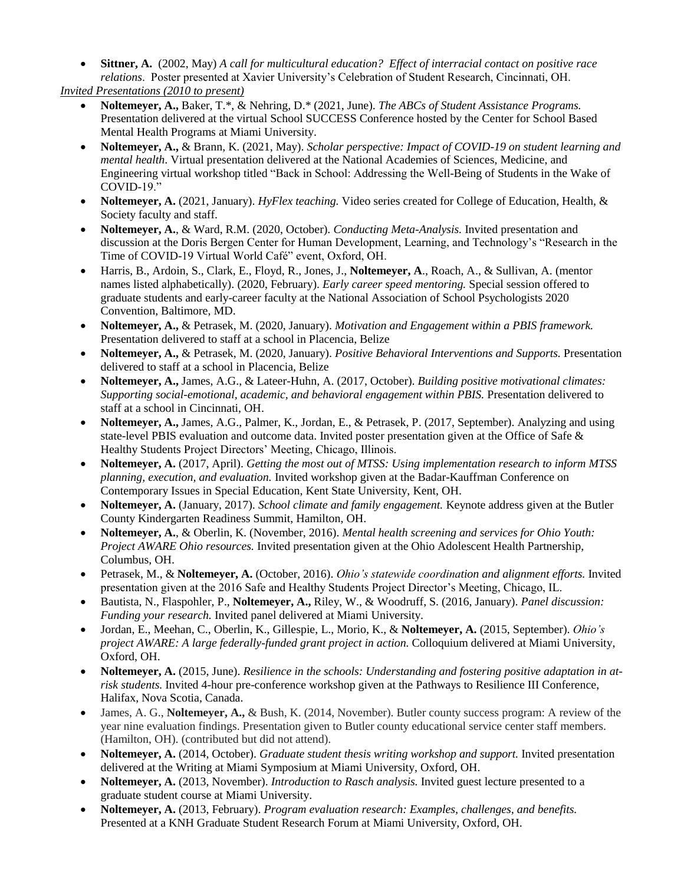**Sittner, A.** (2002, May) *A call for multicultural education? Effect of interracial contact on positive race relations*. Poster presented at Xavier University's Celebration of Student Research, Cincinnati, OH.

*Invited Presentations (2010 to present)*

- **Noltemeyer, A.,** Baker, T.\*, & Nehring, D.\* (2021, June). *The ABCs of Student Assistance Programs.*  Presentation delivered at the virtual School SUCCESS Conference hosted by the Center for School Based Mental Health Programs at Miami University.
- **Noltemeyer, A.,** & Brann, K. (2021, May). *Scholar perspective: Impact of COVID-19 on student learning and mental health*. Virtual presentation delivered at the National Academies of Sciences, Medicine, and Engineering virtual workshop titled "Back in School: Addressing the Well-Being of Students in the Wake of COVID-19."
- **Noltemeyer, A.** (2021, January). *HyFlex teaching*. Video series created for College of Education, Health, & Society faculty and staff.
- **Noltemeyer, A.**, & Ward, R.M. (2020, October). *Conducting Meta-Analysis.* Invited presentation and discussion at the Doris Bergen Center for Human Development, Learning, and Technology's "Research in the Time of COVID-19 Virtual World Café" event, Oxford, OH.
- Harris, B., Ardoin, S., Clark, E., Floyd, R., Jones, J., **Noltemeyer, A**., Roach, A., & Sullivan, A. (mentor names listed alphabetically). (2020, February). *Early career speed mentoring.* Special session offered to graduate students and early-career faculty at the National Association of School Psychologists 2020 Convention, Baltimore, MD.
- **Noltemeyer, A.,** & Petrasek, M. (2020, January). *Motivation and Engagement within a PBIS framework.*  Presentation delivered to staff at a school in Placencia, Belize
- **Noltemeyer, A.,** & Petrasek, M. (2020, January). *Positive Behavioral Interventions and Supports.* Presentation delivered to staff at a school in Placencia, Belize
- **Noltemeyer, A.,** James, A.G., & Lateer-Huhn, A. (2017, October). *Building positive motivational climates: Supporting social-emotional, academic, and behavioral engagement within PBIS.* Presentation delivered to staff at a school in Cincinnati, OH.
- **Noltemeyer, A.,** James, A.G., Palmer, K., Jordan, E., & Petrasek, P. (2017, September). Analyzing and using state-level PBIS evaluation and outcome data. Invited poster presentation given at the Office of Safe & Healthy Students Project Directors' Meeting, Chicago, Illinois.
- **Noltemeyer, A.** (2017, April). *Getting the most out of MTSS: Using implementation research to inform MTSS planning, execution, and evaluation.* Invited workshop given at the Badar-Kauffman Conference on Contemporary Issues in Special Education, Kent State University, Kent, OH.
- **Noltemeyer, A.** (January, 2017). *School climate and family engagement.* Keynote address given at the Butler County Kindergarten Readiness Summit, Hamilton, OH.
- **Noltemeyer, A.**, & Oberlin, K. (November, 2016). *Mental health screening and services for Ohio Youth: Project AWARE Ohio resources.* Invited presentation given at the Ohio Adolescent Health Partnership, Columbus, OH.
- Petrasek, M., & **Noltemeyer, A.** (October, 2016). *Ohio's statewide coordination and alignment efforts.* Invited presentation given at the 2016 Safe and Healthy Students Project Director's Meeting, Chicago, IL.
- Bautista, N., Flaspohler, P., **Noltemeyer, A.,** Riley, W., & Woodruff, S. (2016, January). *Panel discussion: Funding your research.* Invited panel delivered at Miami University.
- Jordan, E., Meehan, C., Oberlin, K., Gillespie, L., Morio, K., & **Noltemeyer, A.** (2015, September). *Ohio's project AWARE: A large federally-funded grant project in action.* Colloquium delivered at Miami University, Oxford, OH.
- **Noltemeyer, A.** (2015, June). *Resilience in the schools: Understanding and fostering positive adaptation in atrisk students.* Invited 4-hour pre-conference workshop given at the Pathways to Resilience III Conference, Halifax, Nova Scotia, Canada.
- James, A. G., **Noltemeyer, A.,** & Bush, K. (2014, November). Butler county success program: A review of the year nine evaluation findings. Presentation given to Butler county educational service center staff members. (Hamilton, OH). (contributed but did not attend).
- **Noltemeyer, A.** (2014, October). *Graduate student thesis writing workshop and support.* Invited presentation delivered at the Writing at Miami Symposium at Miami University, Oxford, OH.
- **Noltemeyer, A.** (2013, November). *Introduction to Rasch analysis.* Invited guest lecture presented to a graduate student course at Miami University.
- **Noltemeyer, A.** (2013, February). *Program evaluation research: Examples, challenges, and benefits.*  Presented at a KNH Graduate Student Research Forum at Miami University, Oxford, OH.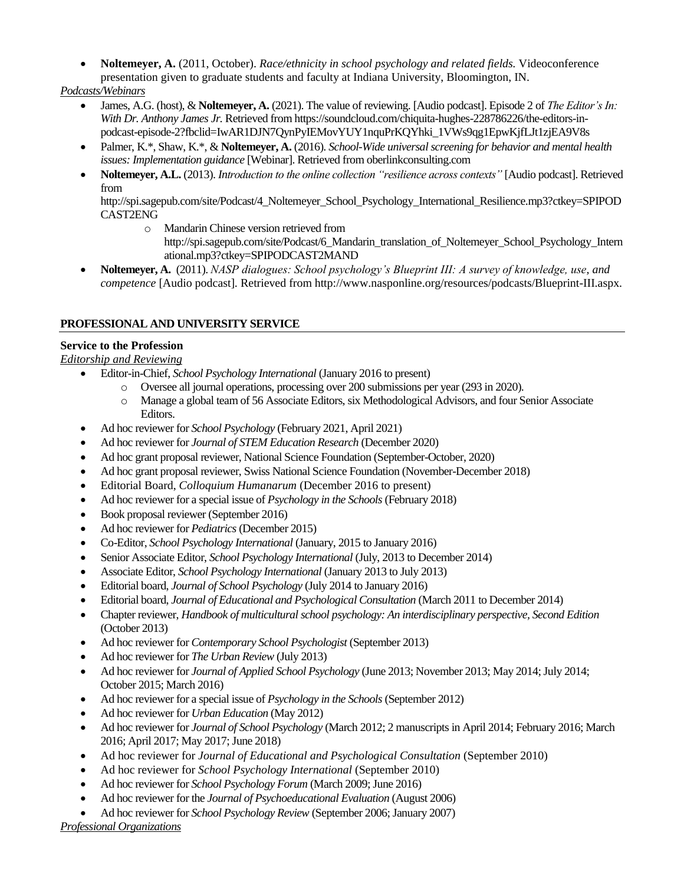**Noltemeyer, A.** (2011, October). *Race/ethnicity in school psychology and related fields.* Videoconference presentation given to graduate students and faculty at Indiana University, Bloomington, IN.

*Podcasts/Webinars*

- James, A.G. (host), & **Noltemeyer, A.** (2021). The value of reviewing. [Audio podcast]. Episode 2 of *The Editor's In: With Dr. Anthony James Jr.* Retrieved from https://soundcloud.com/chiquita-hughes-228786226/the-editors-inpodcast-episode-2?fbclid=IwAR1DJN7QynPyIEMovYUY1nquPrKQYhki\_1VWs9qg1EpwKjfLJt1zjEA9V8s
- Palmer, K.\*, Shaw, K.\*, & **Noltemeyer, A.** (2016). *School-Wide universal screening for behavior and mental health issues: Implementation guidance* [Webinar]. Retrieved from oberlinkconsulting.com
- **Noltemeyer, A.L.** (2013). *Introduction to the online collection "resilience across contexts"* [Audio podcast]. Retrieved from

[http://spi.sagepub.com/site/Podcast/4\\_Noltemeyer\\_School\\_Psychology\\_International\\_Resilience.mp3?ctkey=SPIPOD](http://spi.sagepub.com/site/Podcast/4_Noltemeyer_School_Psychology_International_Resilience.mp3?ctkey=SPIPODCAST2ENG) [CAST2ENG](http://spi.sagepub.com/site/Podcast/4_Noltemeyer_School_Psychology_International_Resilience.mp3?ctkey=SPIPODCAST2ENG)

- o Mandarin Chinese version retrieved from [http://spi.sagepub.com/site/Podcast/6\\_Mandarin\\_translation\\_of\\_Noltemeyer\\_School\\_Psychology\\_Intern](http://spi.sagepub.com/site/Podcast/6_Mandarin_translation_of_Noltemeyer_School_Psychology_International.mp3?ctkey=SPIPODCAST2MAND) [ational.mp3?ctkey=SPIPODCAST2MAND](http://spi.sagepub.com/site/Podcast/6_Mandarin_translation_of_Noltemeyer_School_Psychology_International.mp3?ctkey=SPIPODCAST2MAND)
- **Noltemeyer, A.** (2011). *NASP dialogues: School psychology's Blueprint III: A survey of knowledge, use, and competence* [Audio podcast]*.* Retrieved from [http://www.nasponline.org/resources/podcasts/Blueprint-III.aspx.](http://www.nasponline.org/resources/podcasts/Blueprint-III.aspx)

# **PROFESSIONAL AND UNIVERSITY SERVICE**

# **Service to the Profession**

*Editorship and Reviewing*

- Editor-in-Chief, *School Psychology International* (January 2016 to present)
	- o Oversee all journal operations, processing over 200 submissions per year (293 in 2020).
	- o Manage a global team of 56 Associate Editors, six Methodological Advisors, and four Senior Associate Editors.
- Ad hoc reviewer for *School Psychology* (February 2021, April 2021)
- Ad hoc reviewer for *Journal of STEM Education Research* (December 2020)
- Ad hoc grant proposal reviewer, National Science Foundation (September-October, 2020)
- Ad hoc grant proposal reviewer, Swiss National Science Foundation (November-December 2018)
- Editorial Board, *Colloquium Humanarum* (December 2016 to present)
- Ad hoc reviewer for a special issue of *Psychology in the Schools* (February 2018)
- Book proposal reviewer (September 2016)
- Ad hoc reviewer for *Pediatrics* (December 2015)
- Co-Editor, *School Psychology International* (January, 2015 to January 2016)
- Senior Associate Editor, *School Psychology International* (July, 2013 to December 2014)
- Associate Editor, *School Psychology International* (January 2013 to July 2013)
- Editorial board, *Journal of School Psychology* (July 2014 to January 2016)
- Editorial board, *Journal of Educational and Psychological Consultation* (March 2011 to December 2014)
- Chapter reviewer, *Handbook of multicultural school psychology: An interdisciplinary perspective, Second Edition*  (October 2013)
- Ad hoc reviewer for *Contemporary School Psychologist* (September 2013)
- Ad hoc reviewer for *The Urban Review* (July 2013)
- Ad hoc reviewer for *Journal of Applied School Psychology* (June 2013; November 2013; May 2014; July 2014; October 2015; March 2016)
- Ad hoc reviewer for a special issue of *Psychology in the Schools* (September 2012)
- Ad hoc reviewer for *Urban Education* (May 2012)
- Ad hoc reviewer for *Journal of School Psychology* (March 2012; 2 manuscripts in April 2014; February 2016; March 2016; April 2017; May 2017; June 2018)
- Ad hoc reviewer for *Journal of Educational and Psychological Consultation* (September 2010)
- Ad hoc reviewer for *School Psychology International* (September 2010)
- Ad hoc reviewer for *School Psychology Forum* (March 2009; June 2016)
- Ad hoc reviewer for the *Journal of Psychoeducational Evaluation* (August 2006)
- Ad hoc reviewer for *School Psychology Review* (September 2006; January 2007)

*Professional Organizations*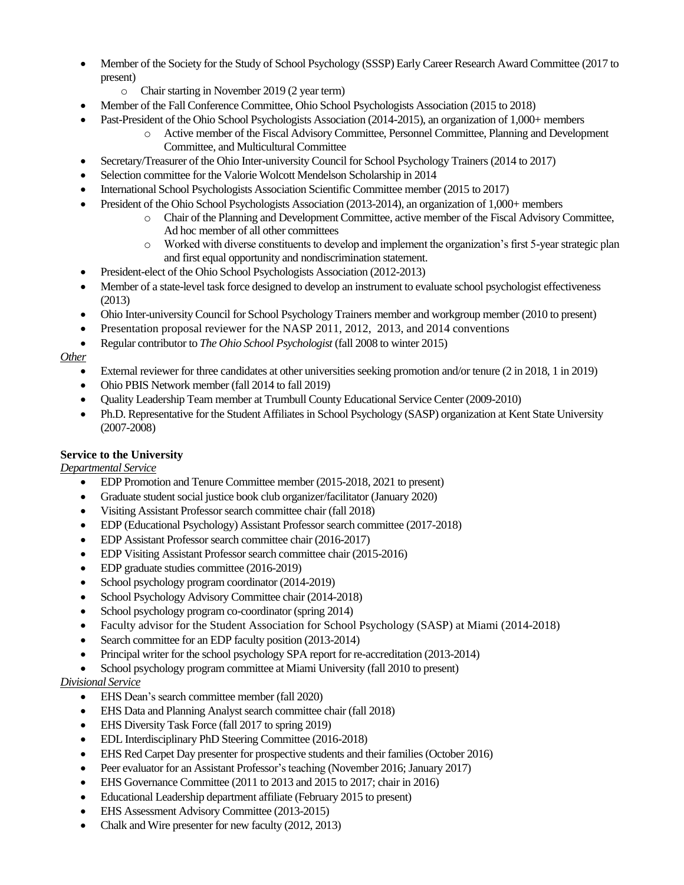- Member of the Society for the Study of School Psychology (SSSP) Early Career Research Award Committee (2017 to present)
	- o Chair starting in November 2019 (2 year term)
- Member of the Fall Conference Committee, Ohio School Psychologists Association (2015 to 2018)
- Past-President of the Ohio School Psychologists Association (2014-2015), an organization of 1,000+ members
	- o Active member of the Fiscal Advisory Committee, Personnel Committee, Planning and Development Committee, and Multicultural Committee
- Secretary/Treasurer of the Ohio Inter-university Council for School Psychology Trainers (2014 to 2017)
- Selection committee for the Valorie Wolcott Mendelson Scholarship in 2014
- International School Psychologists Association Scientific Committee member (2015 to 2017)
- President of the Ohio School Psychologists Association (2013-2014), an organization of 1,000+ members
	- o Chair of the Planning and Development Committee, active member of the Fiscal Advisory Committee, Ad hoc member of all other committees
	- Worked with diverse constituents to develop and implement the organization's first 5-year strategic plan and first equal opportunity and nondiscrimination statement.
- President-elect of the Ohio School Psychologists Association (2012-2013)
- Member of a state-level task force designed to develop an instrument to evaluate school psychologist effectiveness (2013)
- Ohio Inter-university Council for School Psychology Trainers member and workgroup member (2010 to present)
- Presentation proposal reviewer for the NASP 2011, 2012, 2013, and 2014 conventions
- Regular contributor to *The Ohio School Psychologist* (fall 2008 to winter 2015)

*Other*

- External reviewer for three candidates at other universities seeking promotion and/or tenure (2 in 2018, 1 in 2019)
- Ohio PBIS Network member (fall 2014 to fall 2019)
- Quality Leadership Team member at Trumbull County Educational Service Center (2009-2010)
- Ph.D. Representative for the Student Affiliates in School Psychology (SASP) organization at Kent State University (2007-2008)

## **Service to the University**

*Departmental Service*

- EDP Promotion and Tenure Committee member (2015-2018, 2021 to present)
- Graduate student social justice book club organizer/facilitator (January 2020)
- Visiting Assistant Professor search committee chair (fall 2018)
- EDP (Educational Psychology) Assistant Professor search committee (2017-2018)
- EDP Assistant Professor search committee chair (2016-2017)
- EDP Visiting Assistant Professor search committee chair (2015-2016)
- EDP graduate studies committee (2016-2019)
- School psychology program coordinator (2014-2019)
- School Psychology Advisory Committee chair (2014-2018)
- School psychology program co-coordinator (spring 2014)
- Faculty advisor for the Student Association for School Psychology (SASP) at Miami (2014-2018)
- Search committee for an EDP faculty position (2013-2014)
- Principal writer for the school psychology SPA report for re-accreditation (2013-2014)
- School psychology program committee at Miami University (fall 2010 to present)

#### *Divisional Service*

- EHS Dean's search committee member (fall 2020)
- EHS Data and Planning Analyst search committee chair (fall 2018)
- EHS Diversity Task Force (fall 2017 to spring 2019)
- EDL Interdisciplinary PhD Steering Committee (2016-2018)
- EHS Red Carpet Day presenter for prospective students and their families (October 2016)
- Peer evaluator for an Assistant Professor's teaching (November 2016; January 2017)
- EHS Governance Committee (2011 to 2013 and 2015 to 2017; chair in 2016)
- Educational Leadership department affiliate (February 2015 to present)
- EHS Assessment Advisory Committee (2013-2015)
- Chalk and Wire presenter for new faculty (2012, 2013)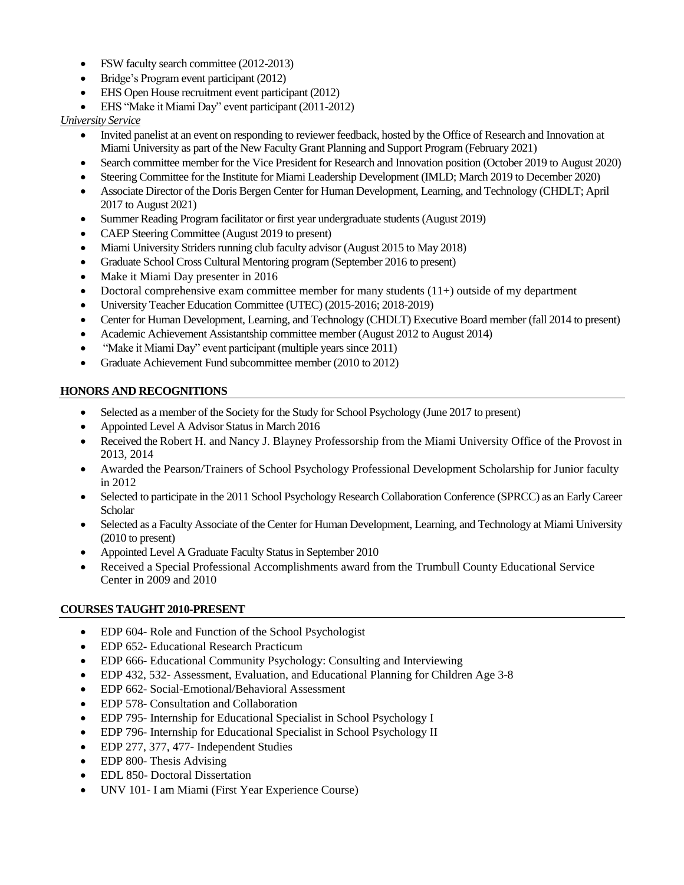- FSW faculty search committee (2012-2013)
- Bridge's Program event participant (2012)
- EHS Open House recruitment event participant (2012)
- EHS "Make it Miami Day" event participant (2011-2012)

## *University Service*

- Invited panelist at an event on responding to reviewer feedback, hosted by the Office of Research and Innovation at Miami University as part of the New Faculty Grant Planning and Support Program (February 2021)
- Search committee member for the Vice President for Research and Innovation position (October 2019 to August 2020)
- Steering Committee for the Institute for Miami Leadership Development (IMLD; March 2019 to December 2020)
- Associate Director of the Doris Bergen Center for Human Development, Learning, and Technology (CHDLT; April 2017 to August 2021)
- Summer Reading Program facilitator or first year undergraduate students(August 2019)
- CAEP Steering Committee (August 2019 to present)
- Miami University Striders running club faculty advisor (August 2015 to May 2018)
- Graduate School Cross Cultural Mentoring program (September 2016 to present)
- Make it Miami Day presenter in 2016
- Doctoral comprehensive exam committee member for many students  $(11+)$  outside of my department
- University Teacher Education Committee (UTEC) (2015-2016; 2018-2019)
- Center for Human Development, Learning, and Technology (CHDLT) Executive Board member (fall 2014 to present)
- Academic Achievement Assistantship committee member (August 2012 to August 2014)
- "Make it Miami Day" event participant (multiple years since 2011)
- Graduate Achievement Fund subcommittee member (2010 to 2012)

## **HONORS AND RECOGNITIONS**

- Selected as a member of the Society for the Study for School Psychology (June 2017 to present)
- Appointed Level A Advisor Status in March 2016
- Received the Robert H. and Nancy J. Blayney Professorship from the Miami University Office of the Provost in 2013, 2014
- Awarded the Pearson/Trainers of School Psychology Professional Development Scholarship for Junior faculty in 2012
- Selected to participate in the 2011 School Psychology Research Collaboration Conference (SPRCC) as an Early Career **Scholar**
- Selected as a Faculty Associate of the Center for Human Development, Learning, and Technology at Miami University (2010 to present)
- Appointed Level A Graduate Faculty Status in September 2010
- Received a Special Professional Accomplishments award from the Trumbull County Educational Service Center in 2009 and 2010

#### **COURSES TAUGHT 2010-PRESENT**

- EDP 604- Role and Function of the School Psychologist
- EDP 652- Educational Research Practicum
- EDP 666- Educational Community Psychology: Consulting and Interviewing
- EDP 432, 532- Assessment, Evaluation, and Educational Planning for Children Age 3-8
- EDP 662- Social-Emotional/Behavioral Assessment
- EDP 578- Consultation and Collaboration
- EDP 795- Internship for Educational Specialist in School Psychology I
- EDP 796- Internship for Educational Specialist in School Psychology II
- EDP 277, 377, 477- Independent Studies
- EDP 800- Thesis Advising
- EDL 850- Doctoral Dissertation
- UNV 101- I am Miami (First Year Experience Course)